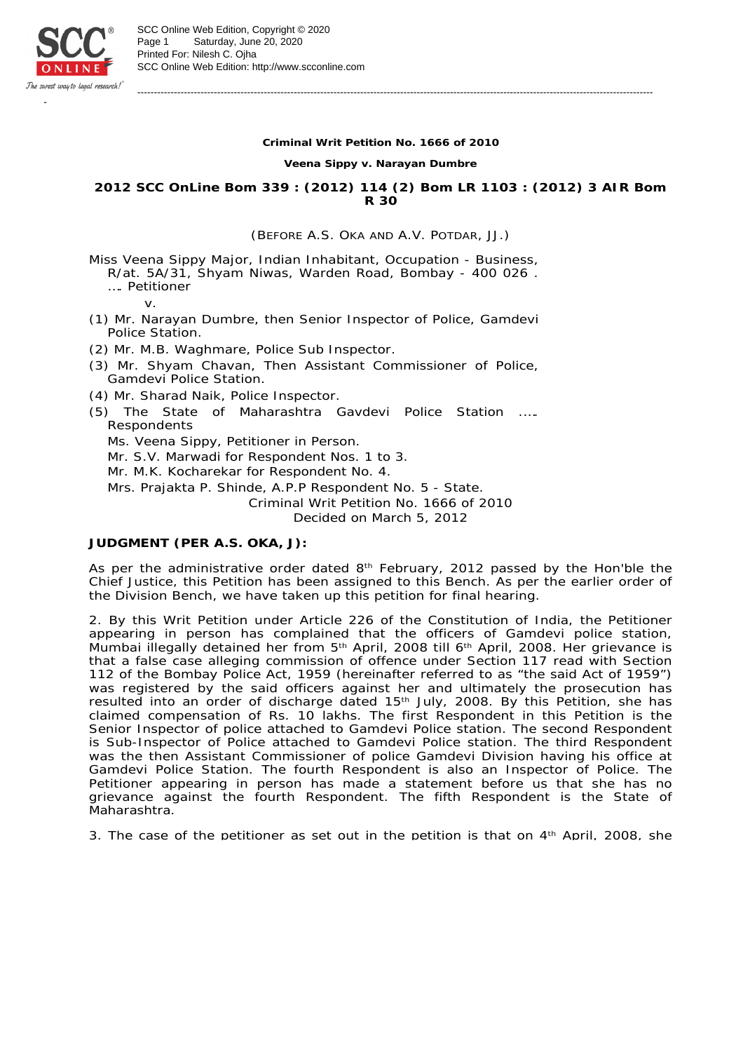

**Criminal Writ Petition No. 1666 of 2010**

-----------------------------------------------------------------------------------------------------------------------------------------------------------

**Veena Sippy v. Narayan Dumbre**

**2012 SCC OnLine Bom 339 : (2012) 114 (2) Bom LR 1103 : (2012) 3 AIR Bom R 30**

#### (BEFORE A.S. OKA AND A.V. POTDAR, JJ.)

Miss Veena Sippy Major, Indian Inhabitant, Occupation - Business, R/at. 5A/31, Shyam Niwas, Warden Road, Bombay - 400 026 . …. Petitioner

*v.*

- (1) Mr. Narayan Dumbre, then Senior Inspector of Police, Gamdevi Police Station.
- (2) Mr. M.B. Waghmare, Police Sub Inspector.
- (3) Mr. Shyam Chavan, Then Assistant Commissioner of Police, Gamdevi Police Station.
- (4) Mr. Sharad Naik, Police Inspector.
- (5) The State of Maharashtra Gavdevi Police Station .…. Respondents
	- Ms. Veena Sippy, Petitioner in Person.
	- Mr. S.V. Marwadi for Respondent Nos. 1 to 3.
	- Mr. M.K. Kocharekar for Respondent No. 4.
	- Mrs. Prajakta P. Shinde, A.P.P Respondent No. 5 State.

Criminal Writ Petition No. 1666 of 2010 Decided on March 5, 2012

**JUDGMENT (PER A.S. OKA, J):**

As per the administrative order dated  $8<sup>th</sup>$  February, 2012 passed by the Hon'ble the Chief Justice, this Petition has been assigned to this Bench. As per the earlier order of the Division Bench, we have taken up this petition for final hearing.

2. By this Writ Petition under Article 226 of the Constitution of India, the Petitioner appearing in person has complained that the officers of Gamdevi police station, Mumbai illegally detained her from 5<sup>th</sup> April, 2008 till 6<sup>th</sup> April, 2008. Her grievance is that a false case alleging commission of offence under Section 117 read with Section 112 of the Bombay Police Act, 1959 (hereinafter referred to as "the said Act of 1959") was registered by the said officers against her and ultimately the prosecution has resulted into an order of discharge dated 15<sup>th</sup> July, 2008. By this Petition, she has claimed compensation of Rs. 10 lakhs. The first Respondent in this Petition is the Senior Inspector of police attached to Gamdevi Police station. The second Respondent is Sub-Inspector of Police attached to Gamdevi Police station. The third Respondent was the then Assistant Commissioner of police Gamdevi Division having his office at Gamdevi Police Station. The fourth Respondent is also an Inspector of Police. The Petitioner appearing in person has made a statement before us that she has no grievance against the fourth Respondent. The fifth Respondent is the State of Maharashtra.

3. The case of the petitioner as set out in the petition is that on  $4<sup>th</sup>$  April. 2008. she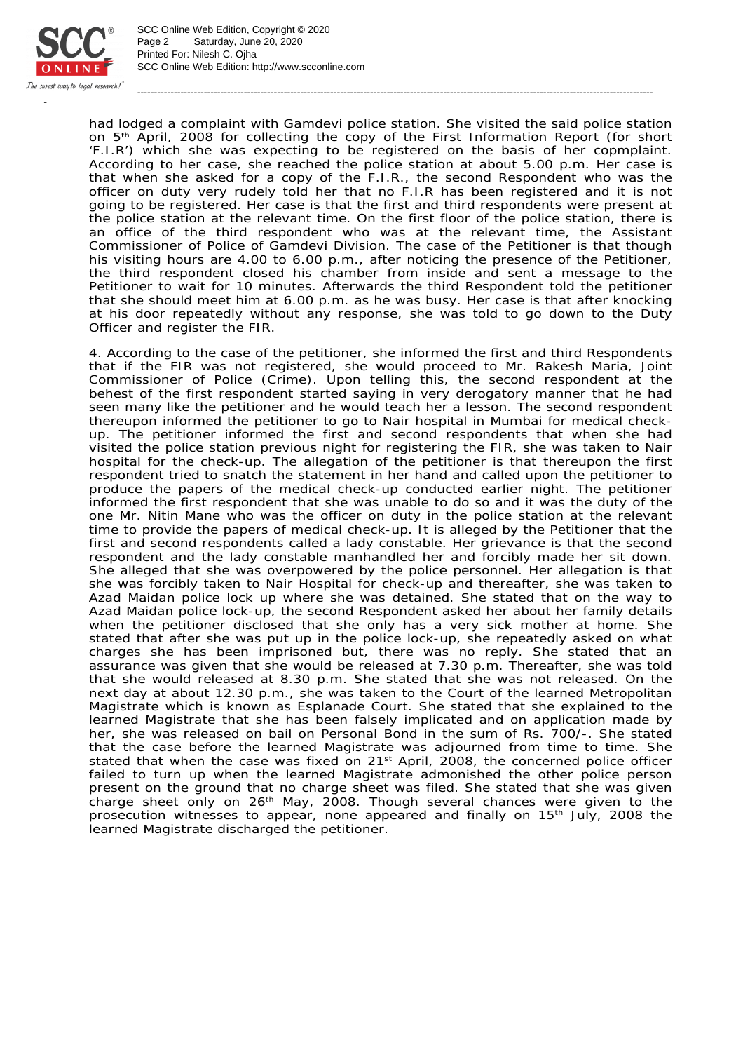

SCC Online Web Edition: http://www.scconline.com Printed For: Nilesh C. Ojha Page 2 Saturday, June 20, 2020 SCC Online Web Edition, Copyright © 2020

had lodged a complaint with Gamdevi police station. She visited the said police station on  $5<sup>th</sup>$  April, 2008 for collecting the copy of the First Information Report (for short 'F.I.R') which she was expecting to be registered on the basis of her copmplaint. According to her case, she reached the police station at about 5.00 p.m. Her case is that when she asked for a copy of the F.I.R., the second Respondent who was the officer on duty very rudely told her that no F.I.R has been registered and it is not going to be registered. Her case is that the first and third respondents were present at the police station at the relevant time. On the first floor of the police station, there is an office of the third respondent who was at the relevant time, the Assistant Commissioner of Police of Gamdevi Division. The case of the Petitioner is that though his visiting hours are 4.00 to 6.00 p.m., after noticing the presence of the Petitioner, the third respondent closed his chamber from inside and sent a message to the Petitioner to wait for 10 minutes. Afterwards the third Respondent told the petitioner that she should meet him at 6.00 p.m. as he was busy. Her case is that after knocking at his door repeatedly without any response, she was told to go down to the Duty Officer and register the FIR.

-----------------------------------------------------------------------------------------------------------------------------------------------------------

4. According to the case of the petitioner, she informed the first and third Respondents that if the FIR was not registered, she would proceed to Mr. Rakesh Maria, Joint Commissioner of Police (Crime). Upon telling this, the second respondent at the behest of the first respondent started saying in very derogatory manner that he had seen many like the petitioner and he would teach her a lesson. The second respondent thereupon informed the petitioner to go to Nair hospital in Mumbai for medical checkup. The petitioner informed the first and second respondents that when she had visited the police station previous night for registering the FIR, she was taken to Nair hospital for the check-up. The allegation of the petitioner is that thereupon the first respondent tried to snatch the statement in her hand and called upon the petitioner to produce the papers of the medical check-up conducted earlier night. The petitioner informed the first respondent that she was unable to do so and it was the duty of the one Mr. Nitin Mane who was the officer on duty in the police station at the relevant time to provide the papers of medical check-up. It is alleged by the Petitioner that the first and second respondents called a lady constable. Her grievance is that the second respondent and the lady constable manhandled her and forcibly made her sit down. She alleged that she was overpowered by the police personnel. Her allegation is that she was forcibly taken to Nair Hospital for check-up and thereafter, she was taken to Azad Maidan police lock up where she was detained. She stated that on the way to Azad Maidan police lock-up, the second Respondent asked her about her family details when the petitioner disclosed that she only has a very sick mother at home. She stated that after she was put up in the police lock-up, she repeatedly asked on what charges she has been imprisoned but, there was no reply. She stated that an assurance was given that she would be released at 7.30 p.m. Thereafter, she was told that she would released at 8.30 p.m. She stated that she was not released. On the next day at about 12.30 p.m., she was taken to the Court of the learned Metropolitan Magistrate which is known as Esplanade Court. She stated that she explained to the learned Magistrate that she has been falsely implicated and on application made by her, she was released on bail on Personal Bond in the sum of Rs. 700/-. She stated that the case before the learned Magistrate was adjourned from time to time. She stated that when the case was fixed on 21<sup>st</sup> April, 2008, the concerned police officer failed to turn up when the learned Magistrate admonished the other police person present on the ground that no charge sheet was filed. She stated that she was given charge sheet only on  $26<sup>th</sup>$  May, 2008. Though several chances were given to the prosecution witnesses to appear, none appeared and finally on  $15<sup>th</sup>$  July, 2008 the learned Magistrate discharged the petitioner.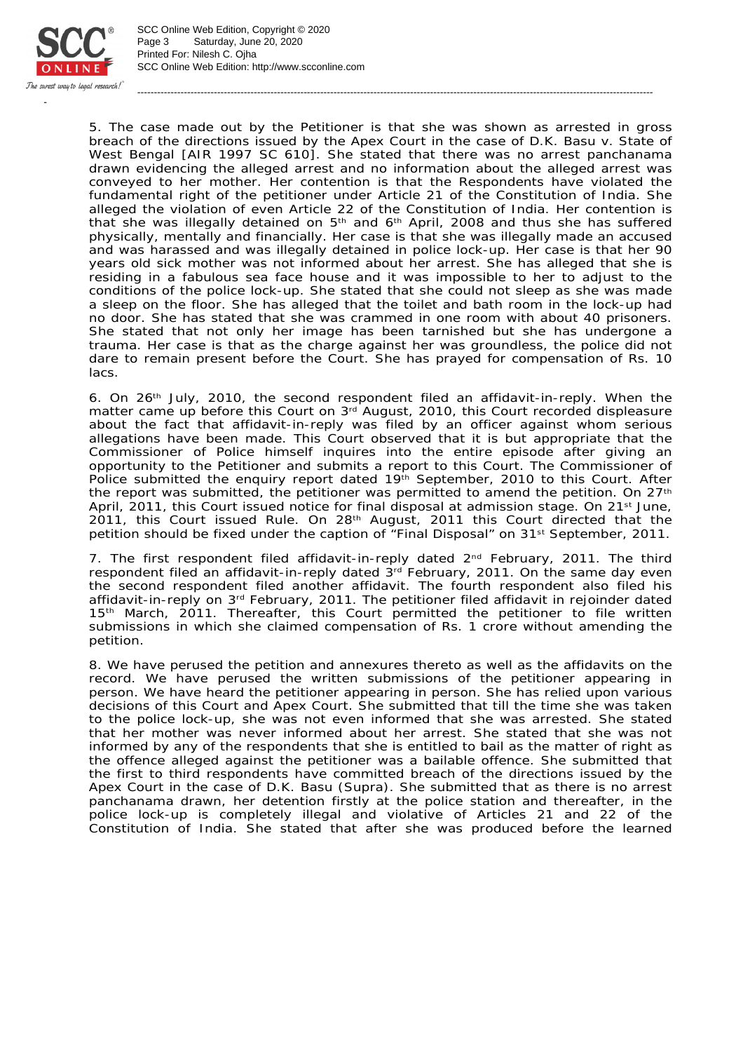

SCC Online Web Edition: http://www.scconline.com Printed For: Nilesh C. Ojha Page 3 Saturday, June 20, 2020 SCC Online Web Edition, Copyright © 2020

5. The case made out by the Petitioner is that she was shown as arrested in gross breach of the directions issued by the Apex Court in the case of *D.K. Basu* v. *State of West Bengal* [AIR 1997 SC 610]. She stated that there was no arrest panchanama drawn evidencing the alleged arrest and no information about the alleged arrest was conveyed to her mother. Her contention is that the Respondents have violated the fundamental right of the petitioner under Article 21 of the Constitution of India. She alleged the violation of even Article 22 of the Constitution of India. Her contention is that she was illegally detained on  $5<sup>th</sup>$  and  $6<sup>th</sup>$  April, 2008 and thus she has suffered physically, mentally and financially. Her case is that she was illegally made an accused and was harassed and was illegally detained in police lock-up. Her case is that her 90 years old sick mother was not informed about her arrest. She has alleged that she is residing in a fabulous sea face house and it was impossible to her to adjust to the conditions of the police lock-up. She stated that she could not sleep as she was made a sleep on the floor. She has alleged that the toilet and bath room in the lock-up had no door. She has stated that she was crammed in one room with about 40 prisoners. She stated that not only her image has been tarnished but she has undergone a trauma. Her case is that as the charge against her was groundless, the police did not dare to remain present before the Court. She has prayed for compensation of Rs. 10 lacs.

-----------------------------------------------------------------------------------------------------------------------------------------------------------

6. On  $26<sup>th</sup>$  July, 2010, the second respondent filed an affidavit-in-reply. When the matter came up before this Court on  $3<sup>rd</sup>$  August, 2010, this Court recorded displeasure about the fact that affidavit-in-reply was filed by an officer against whom serious allegations have been made. This Court observed that it is but appropriate that the Commissioner of Police himself inquires into the entire episode after giving an opportunity to the Petitioner and submits a report to this Court. The Commissioner of Police submitted the enquiry report dated 19<sup>th</sup> September, 2010 to this Court. After the report was submitted, the petitioner was permitted to amend the petition. On 27<sup>th</sup> April, 2011, this Court issued notice for final disposal at admission stage. On 21<sup>st</sup> June, 2011, this Court issued Rule. On  $28<sup>th</sup>$  August, 2011 this Court directed that the petition should be fixed under the caption of "Final Disposal" on 31<sup>st</sup> September, 2011.

7. The first respondent filed affidavit-in-reply dated  $2<sup>nd</sup>$  February, 2011. The third respondent filed an affidavit-in-reply dated 3<sup>rd</sup> February, 2011. On the same day even the second respondent filed another affidavit. The fourth respondent also filed his affidavit-in-reply on 3<sup>rd</sup> February, 2011. The petitioner filed affidavit in rejoinder dated 15<sup>th</sup> March, 2011. Thereafter, this Court permitted the petitioner to file written submissions in which she claimed compensation of Rs. 1 crore without amending the petition.

8. We have perused the petition and annexures thereto as well as the affidavits on the record. We have perused the written submissions of the petitioner appearing in person. We have heard the petitioner appearing in person. She has relied upon various decisions of this Court and Apex Court. She submitted that till the time she was taken to the police lock-up, she was not even informed that she was arrested. She stated that her mother was never informed about her arrest. She stated that she was not informed by any of the respondents that she is entitled to bail as the matter of right as the offence alleged against the petitioner was a bailable offence. She submitted that the first to third respondents have committed breach of the directions issued by the Apex Court in the case of *D.K. Basu* (Supra). She submitted that as there is no arrest panchanama drawn, her detention firstly at the police station and thereafter, in the police lock-up is completely illegal and violative of Articles 21 and 22 of the Constitution of India. She stated that after she was produced before the learned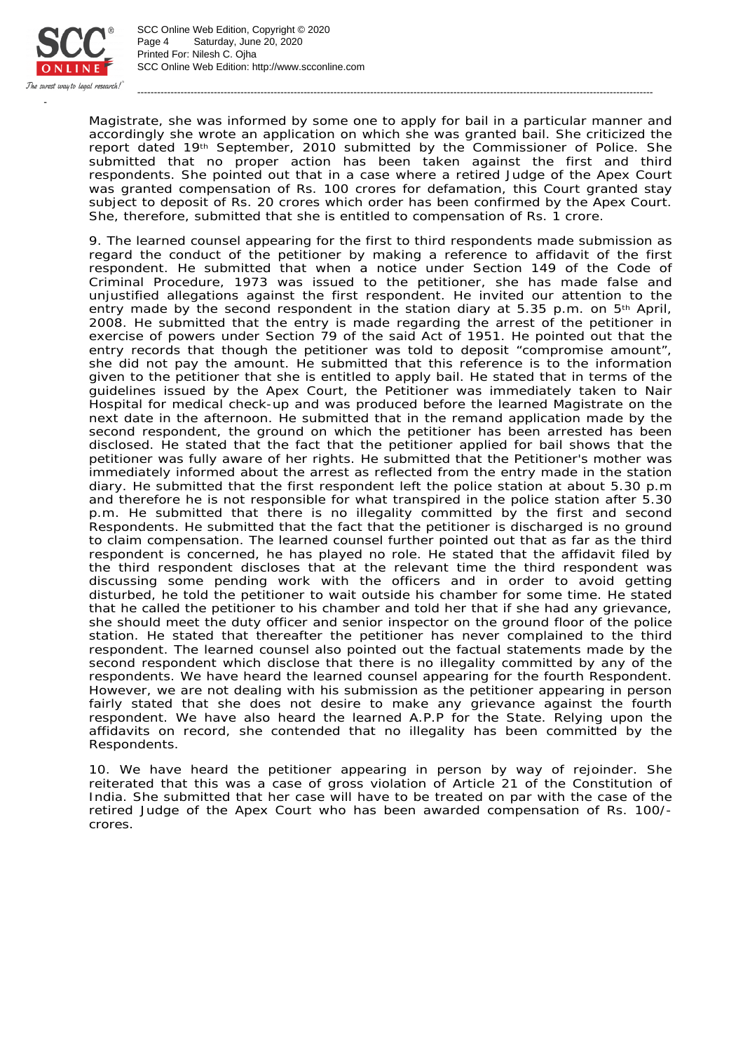

SCC Online Web Edition: http://www.scconline.com Printed For: Nilesh C. Ojha Page 4 Saturday, June 20, 2020 SCC Online Web Edition, Copyright © 2020

Magistrate, she was informed by some one to apply for bail in a particular manner and accordingly she wrote an application on which she was granted bail. She criticized the report dated 19<sup>th</sup> September, 2010 submitted by the Commissioner of Police. She submitted that no proper action has been taken against the first and third respondents. She pointed out that in a case where a retired Judge of the Apex Court was granted compensation of Rs. 100 crores for defamation, this Court granted stay subject to deposit of Rs. 20 crores which order has been confirmed by the Apex Court. She, therefore, submitted that she is entitled to compensation of Rs. 1 crore.

-----------------------------------------------------------------------------------------------------------------------------------------------------------

9. The learned counsel appearing for the first to third respondents made submission as regard the conduct of the petitioner by making a reference to affidavit of the first respondent. He submitted that when a notice under Section 149 of the Code of Criminal Procedure, 1973 was issued to the petitioner, she has made false and unjustified allegations against the first respondent. He invited our attention to the entry made by the second respondent in the station diary at 5.35 p.m. on  $5<sup>th</sup>$  April, 2008. He submitted that the entry is made regarding the arrest of the petitioner in exercise of powers under Section 79 of the said Act of 1951. He pointed out that the entry records that though the petitioner was told to deposit "compromise amount", she did not pay the amount. He submitted that this reference is to the information given to the petitioner that she is entitled to apply bail. He stated that in terms of the guidelines issued by the Apex Court, the Petitioner was immediately taken to Nair Hospital for medical check-up and was produced before the learned Magistrate on the next date in the afternoon. He submitted that in the remand application made by the second respondent, the ground on which the petitioner has been arrested has been disclosed. He stated that the fact that the petitioner applied for bail shows that the petitioner was fully aware of her rights. He submitted that the Petitioner's mother was immediately informed about the arrest as reflected from the entry made in the station diary. He submitted that the first respondent left the police station at about 5.30 p.m and therefore he is not responsible for what transpired in the police station after 5.30 p.m. He submitted that there is no illegality committed by the first and second Respondents. He submitted that the fact that the petitioner is discharged is no ground to claim compensation. The learned counsel further pointed out that as far as the third respondent is concerned, he has played no role. He stated that the affidavit filed by the third respondent discloses that at the relevant time the third respondent was discussing some pending work with the officers and in order to avoid getting disturbed, he told the petitioner to wait outside his chamber for some time. He stated that he called the petitioner to his chamber and told her that if she had any grievance, she should meet the duty officer and senior inspector on the ground floor of the police station. He stated that thereafter the petitioner has never complained to the third respondent. The learned counsel also pointed out the factual statements made by the second respondent which disclose that there is no illegality committed by any of the respondents. We have heard the learned counsel appearing for the fourth Respondent. However, we are not dealing with his submission as the petitioner appearing in person fairly stated that she does not desire to make any grievance against the fourth respondent. We have also heard the learned A.P.P for the State. Relying upon the affidavits on record, she contended that no illegality has been committed by the Respondents.

10. We have heard the petitioner appearing in person by way of rejoinder. She reiterated that this was a case of gross violation of Article 21 of the Constitution of India. She submitted that her case will have to be treated on par with the case of the retired Judge of the Apex Court who has been awarded compensation of Rs. 100/ crores.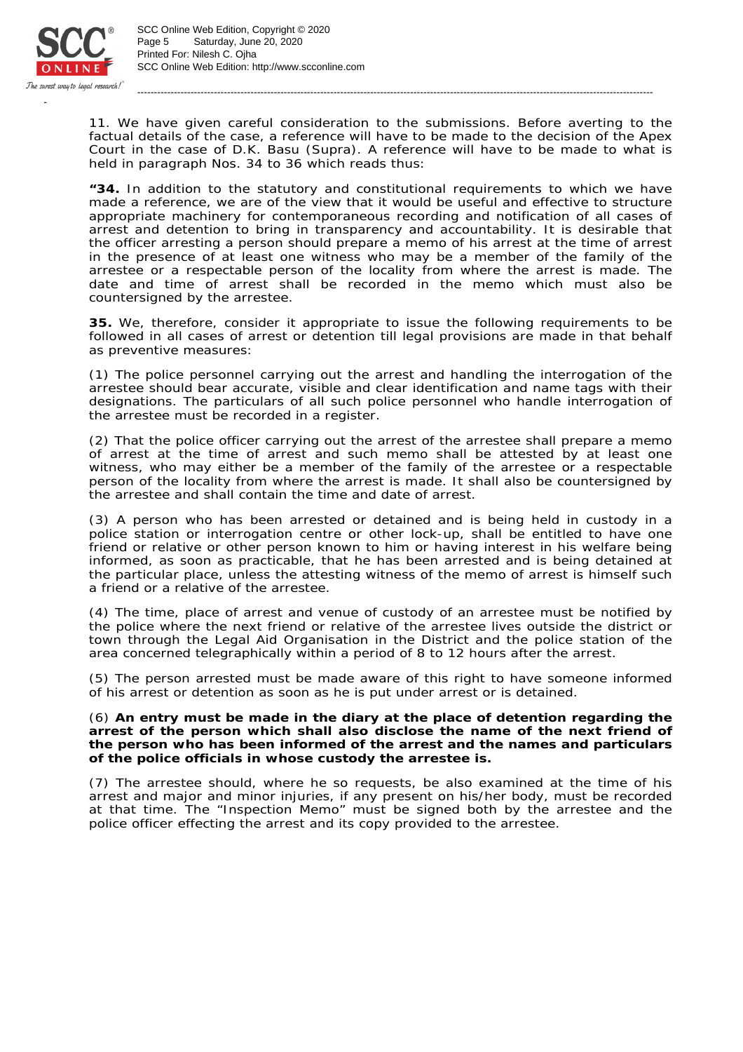

11. We have given careful consideration to the submissions. Before averting to the factual details of the case, a reference will have to be made to the decision of the Apex Court in the case of *D.K. Basu* (Supra). A reference will have to be made to what is held in paragraph Nos. 34 to 36 which reads thus:

-----------------------------------------------------------------------------------------------------------------------------------------------------------

*"34. In addition to the statutory and constitutional requirements to which we have made a reference, we are of the view that it would be useful and effective to structure appropriate machinery for contemporaneous recording and notification of all cases of arrest and detention to bring in transparency and accountability. It is desirable that the officer arresting a person should prepare a memo of his arrest at the time of arrest in the presence of at least one witness who may be a member of the family of the arrestee or a respectable person of the locality from where the arrest is made. The date and time of arrest shall be recorded in the memo which must also be countersigned by the arrestee.*

*35. We, therefore, consider it appropriate to issue the following requirements to be*  followed in all cases of arrest or detention till legal provisions are made in that behalf *as preventive measures:*

*(1) The police personnel carrying out the arrest and handling the interrogation of the arrestee should bear accurate, visible and clear identification and name tags with their*  designations. The particulars of all such police personnel who handle interrogation of *the arrestee must be recorded in a register.*

*(2) That the police officer carrying out the arrest of the arrestee shall prepare a memo of arrest at the time of arrest and such memo shall be attested by at least one witness, who may either be a member of the family of the arrestee or a respectable person of the locality from where the arrest is made. It shall also be countersigned by the arrestee and shall contain the time and date of arrest.*

*(3) A person who has been arrested or detained and is being held in custody in a police station or interrogation centre or other lock-up, shall be entitled to have one friend or relative or other person known to him or having interest in his welfare being*  informed, as soon as practicable, that he has been arrested and is being detained at *the particular place, unless the attesting witness of the memo of arrest is himself such a friend or a relative of the arrestee.*

*(4) The time, place of arrest and venue of custody of an arrestee must be notified by the police where the next friend or relative of the arrestee lives outside the district or town through the Legal Aid Organisation in the District and the police station of the area concerned telegraphically within a period of 8 to 12 hours after the arrest.*

*(5) The person arrested must be made aware of this right to have someone informed of his arrest or detention as soon as he is put under arrest or is detained.*

*(6) An entry must be made in the diary at the place of detention regarding the*  arrest of the person which shall also disclose the name of the next friend of *the person who has been informed of the arrest and the names and particulars of the police officials in whose custody the arrestee is.*

*(7) The arrestee should, where he so requests, be also examined at the time of his arrest and major and minor injuries, if any present on his/her body, must be recorded at that time. The "Inspection Memo" must be signed both by the arrestee and the police officer effecting the arrest and its copy provided to the arrestee.*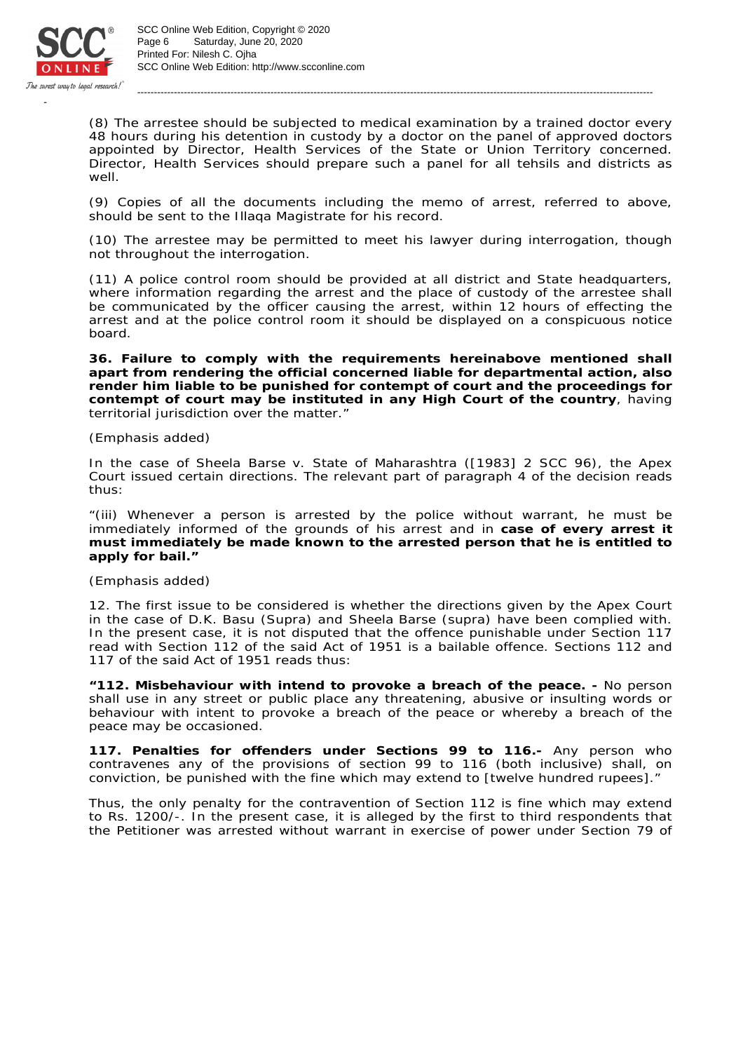

*(8) The arrestee should be subjected to medical examination by a trained doctor every 48 hours during his detention in custody by a doctor on the panel of approved doctors appointed by Director, Health Services of the State or Union Territory concerned. Director, Health Services should prepare such a panel for all tehsils and districts as well.*

-----------------------------------------------------------------------------------------------------------------------------------------------------------

*(9) Copies of all the documents including the memo of arrest, referred to above, should be sent to the Illaqa Magistrate for his record.*

*(10) The arrestee may be permitted to meet his lawyer during interrogation, though not throughout the interrogation.*

*(11) A police control room should be provided at all district and State headquarters, where information regarding the arrest and the place of custody of the arrestee shall be communicated by the officer causing the arrest, within 12 hours of effecting the arrest and at the police control room it should be displayed on a conspicuous notice board.*

36. Failure to comply with the requirements hereinabove mentioned shall *apart from rendering the official concerned liable for departmental action, also render him liable to be punished for contempt of court and the proceedings for contempt of court may be instituted in any High Court of the country, having territorial jurisdiction over the matter."*

#### *(Emphasis added)*

In the case of *Sheela Barse* v. *State of Maharashtra* ([1983] 2 SCC 96), the Apex Court issued certain directions. The relevant part of paragraph 4 of the decision reads thus:

"(iii) Whenever a person is arrested by the police without warrant, he must be immediately informed of the grounds of his arrest and in **case of every arrest it must immediately be made known to the arrested person that he is entitled to apply for bail."**

# (Emphasis added)

12. The first issue to be considered is whether the directions given by the Apex Court in the case of *D.K. Basu* (Supra) and *Sheela Barse* (supra) have been complied with. In the present case, it is not disputed that the offence punishable under Section 117 read with Section 112 of the said Act of 1951 is a bailable offence. Sections 112 and 117 of the said Act of 1951 reads thus:

*"112. Misbehaviour with intend to provoke a breach of the peace. - No person shall use in any street or public place any threatening, abusive or insulting words or behaviour with intent to provoke a breach of the peace or whereby a breach of the peace may be occasioned.*

*117. Penalties for offenders under Sections 99 to 116.- Any person who contravenes any of the provisions of section 99 to 116 (both inclusive) shall, on conviction, be punished with the fine which may extend to [twelve hundred rupees]."*

Thus, the only penalty for the contravention of Section 112 is fine which may extend to Rs. 1200/-. In the present case, it is alleged by the first to third respondents that the Petitioner was arrested without warrant in exercise of power under Section 79 of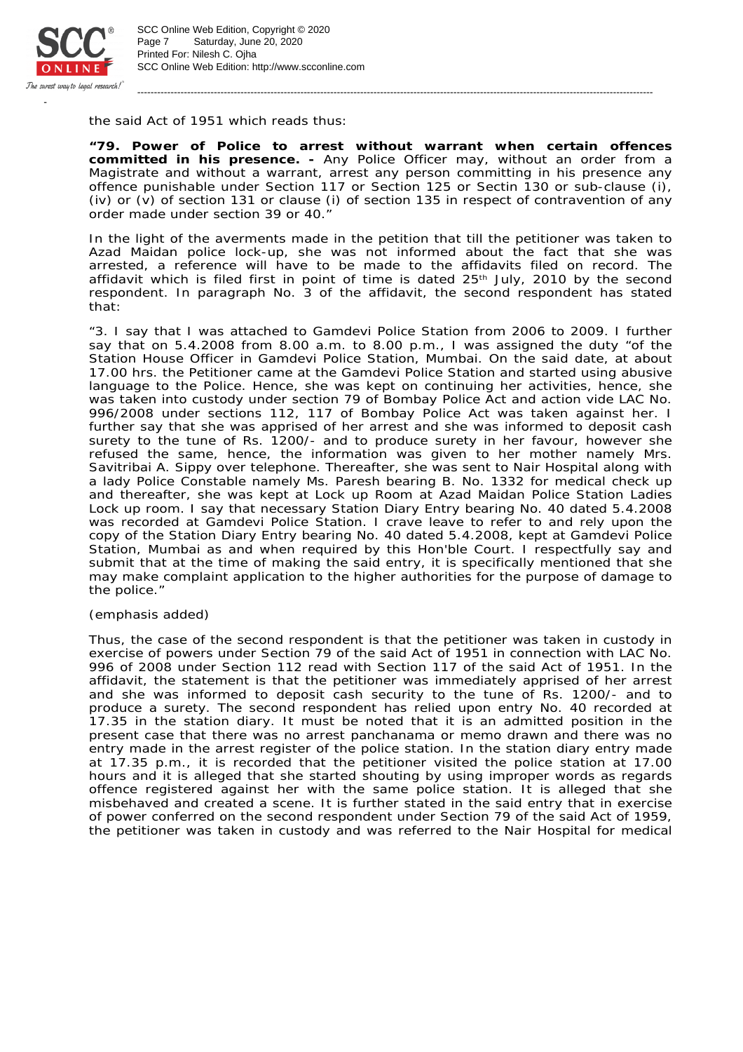

# the said Act of 1951 which reads thus:

*"79. Power of Police to arrest without warrant when certain offences committed in his presence. - Any Police Officer may, without an order from a Magistrate and without a warrant, arrest any person committing in his presence any offence punishable under Section 117 or Section 125 or Sectin 130 or sub-clause (i), (iv) or (v) of section 131 or clause (i) of section 135 in respect of contravention of any order made under section 39 or 40."*

In the light of the averments made in the petition that till the petitioner was taken to Azad Maidan police lock-up, she was not informed about the fact that she was arrested, a reference will have to be made to the affidavits filed on record. The affidavit which is filed first in point of time is dated  $25<sup>th</sup>$  July, 2010 by the second respondent. In paragraph No. 3 of the affidavit, the second respondent has stated that:

*"3. I say that I was attached to Gamdevi Police Station from 2006 to 2009. I further say that on 5.4.2008 from 8.00 a.m. to 8.00 p.m., I was assigned the duty "of the Station House Officer in Gamdevi Police Station, Mumbai. On the said date, at about 17.00 hrs. the Petitioner came at the Gamdevi Police Station and started using abusive*  language to the Police. Hence, she was kept on continuing her activities, hence, she *was taken into custody under section 79 of Bombay Police Act and action vide LAC No. 996/2008 under sections 112, 117 of Bombay Police Act was taken against her. I further say that she was apprised of her arrest and she was informed to deposit cash surety to the tune of Rs. 1200/- and to produce surety in her favour, however she refused the same, hence, the information was given to her mother namely Mrs. Savitribai A. Sippy over telephone. Thereafter, she was sent to Nair Hospital along with a lady Police Constable namely Ms. Paresh bearing B. No. 1332 for medical check up and thereafter, she was kept at Lock up Room at Azad Maidan Police Station Ladies Lock up room. I say that necessary Station Diary Entry bearing No. 40 dated 5.4.2008 was recorded at Gamdevi Police Station. I crave leave to refer to and rely upon the copy of the Station Diary Entry bearing No. 40 dated 5.4.2008, kept at Gamdevi Police Station, Mumbai as and when required by this Hon'ble Court. I respectfully say and submit that at the time of making the said entry, it is specifically mentioned that she may make complaint application to the higher authorities for the purpose of damage to the police."*

#### (emphasis added)

Thus, the case of the second respondent is that the petitioner was taken in custody in exercise of powers under Section 79 of the said Act of 1951 in connection with LAC No. 996 of 2008 under Section 112 read with Section 117 of the said Act of 1951. In the affidavit, the statement is that the petitioner was immediately apprised of her arrest and she was informed to deposit cash security to the tune of Rs. 1200/- and to produce a surety. The second respondent has relied upon entry No. 40 recorded at 17.35 in the station diary. It must be noted that it is an admitted position in the present case that there was no arrest panchanama or memo drawn and there was no entry made in the arrest register of the police station. In the station diary entry made at 17.35 p.m., it is recorded that the petitioner visited the police station at 17.00 hours and it is alleged that she started shouting by using improper words as regards offence registered against her with the same police station. It is alleged that she misbehaved and created a scene. It is further stated in the said entry that in exercise of power conferred on the second respondent under Section 79 of the said Act of 1959, the petitioner was taken in custody and was referred to the Nair Hospital for medical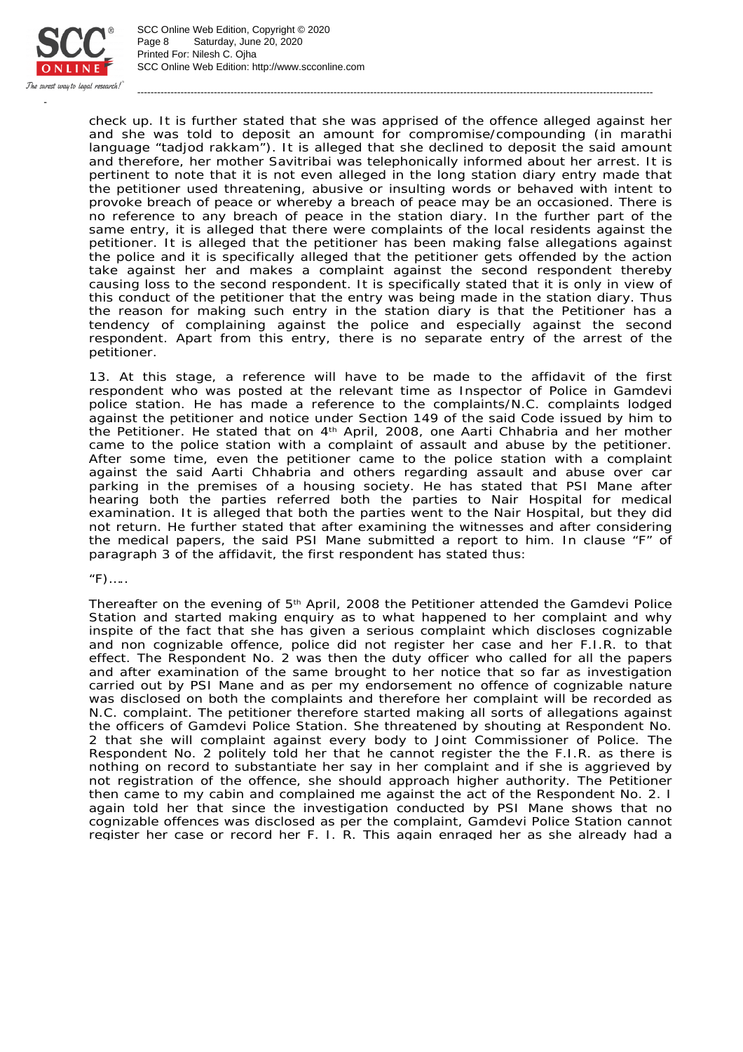

SCC Online Web Edition: http://www.scconline.com Printed For: Nilesh C. Ojha Page 8 Saturday, June 20, 2020 SCC Online Web Edition, Copyright © 2020

check up. It is further stated that she was apprised of the offence alleged against her and she was told to deposit an amount for compromise/compounding (in marathi language "tadjod rakkam"). It is alleged that she declined to deposit the said amount and therefore, her mother Savitribai was telephonically informed about her arrest. It is pertinent to note that it is not even alleged in the long station diary entry made that the petitioner used threatening, abusive or insulting words or behaved with intent to provoke breach of peace or whereby a breach of peace may be an occasioned. There is no reference to any breach of peace in the station diary. In the further part of the same entry, it is alleged that there were complaints of the local residents against the petitioner. It is alleged that the petitioner has been making false allegations against the police and it is specifically alleged that the petitioner gets offended by the action take against her and makes a complaint against the second respondent thereby causing loss to the second respondent. It is specifically stated that it is only in view of this conduct of the petitioner that the entry was being made in the station diary. Thus the reason for making such entry in the station diary is that the Petitioner has a tendency of complaining against the police and especially against the second respondent. Apart from this entry, there is no separate entry of the arrest of the petitioner.

-----------------------------------------------------------------------------------------------------------------------------------------------------------

13. At this stage, a reference will have to be made to the affidavit of the first respondent who was posted at the relevant time as Inspector of Police in Gamdevi police station. He has made a reference to the complaints/N.C. complaints lodged against the petitioner and notice under Section 149 of the said Code issued by him to the Petitioner. He stated that on 4<sup>th</sup> April, 2008, one Aarti Chhabria and her mother came to the police station with a complaint of assault and abuse by the petitioner. After some time, even the petitioner came to the police station with a complaint against the said Aarti Chhabria and others regarding assault and abuse over car parking in the premises of a housing society. He has stated that PSI Mane after hearing both the parties referred both the parties to Nair Hospital for medical examination. It is alleged that both the parties went to the Nair Hospital, but they did not return. He further stated that after examining the witnesses and after considering the medical papers, the said PSI Mane submitted a report to him. In clause "F" of paragraph 3 of the affidavit, the first respondent has stated thus:

*"F)…..*

Thereafter on the evening of 5<sup>th</sup> April, 2008 the Petitioner attended the Gamdevi Police *Station and started making enquiry as to what happened to her complaint and why inspite of the fact that she has given a serious complaint which discloses cognizable* and non cognizable offence, police did not register her case and her F.I.R. to that *effect. The Respondent No. 2 was then the duty officer who called for all the papers and after examination of the same brought to her notice that so far as investigation carried out by PSI Mane and as per my endorsement no offence of cognizable nature was disclosed on both the complaints and therefore her complaint will be recorded as N.C. complaint. The petitioner therefore started making all sorts of allegations against the officers of Gamdevi Police Station. She threatened by shouting at Respondent No. 2 that she will complaint against every body to Joint Commissioner of Police. The Respondent No. 2 politely told her that he cannot register the the F.I.R. as there is nothing on record to substantiate her say in her complaint and if she is aggrieved by not registration of the offence, she should approach higher authority. The Petitioner then came to my cabin and complained me against the act of the Respondent No. 2. I again told her that since the investigation conducted by PSI Mane shows that no cognizable offences was disclosed as per the complaint, Gamdevi Police Station cannot register her case or record her F. I. R. This again enraged her as she already had a*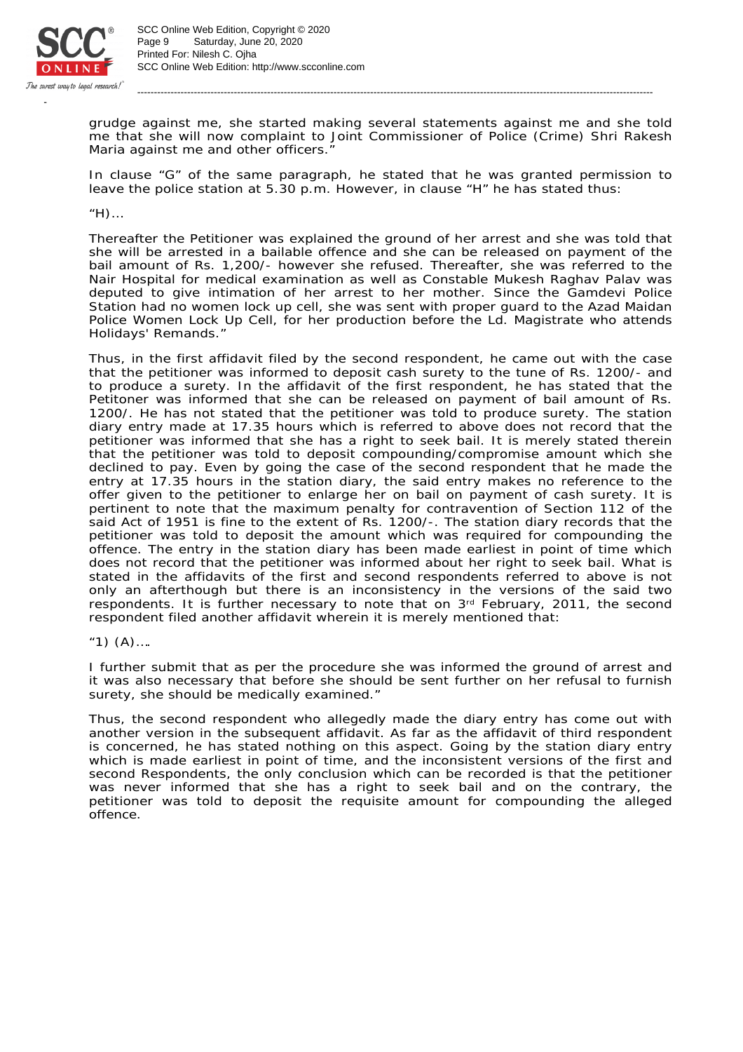

*grudge against me, she started making several statements against me and she told me that she will now complaint to Joint Commissioner of Police (Crime) Shri Rakesh Maria against me and other officers."*

-----------------------------------------------------------------------------------------------------------------------------------------------------------

In clause "G" of the same paragraph, he stated that he was granted permission to leave the police station at 5.30 p.m. However, in clause "H" he has stated thus:

*"H)…*

*Thereafter the Petitioner was explained the ground of her arrest and she was told that she will be arrested in a bailable offence and she can be released on payment of the*  bail amount of Rs. 1,200/- however she refused. Thereafter, she was referred to the *Nair Hospital for medical examination as well as Constable Mukesh Raghav Palav was deputed to give intimation of her arrest to her mother. Since the Gamdevi Police Station had no women lock up cell, she was sent with proper guard to the Azad Maidan Police Women Lock Up Cell, for her production before the Ld. Magistrate who attends Holidays' Remands."*

Thus, in the first affidavit filed by the second respondent, he came out with the case that the petitioner was informed to deposit cash surety to the tune of Rs. 1200/- and to produce a surety. In the affidavit of the first respondent, he has stated that the Petitoner was informed that she can be released on payment of bail amount of Rs. 1200/. He has not stated that the petitioner was told to produce surety. The station diary entry made at 17.35 hours which is referred to above does not record that the petitioner was informed that she has a right to seek bail. It is merely stated therein that the petitioner was told to deposit compounding/compromise amount which she declined to pay. Even by going the case of the second respondent that he made the entry at 17.35 hours in the station diary, the said entry makes no reference to the offer given to the petitioner to enlarge her on bail on payment of cash surety. It is pertinent to note that the maximum penalty for contravention of Section 112 of the said Act of 1951 is fine to the extent of Rs. 1200/-. The station diary records that the petitioner was told to deposit the amount which was required for compounding the offence. The entry in the station diary has been made earliest in point of time which does not record that the petitioner was informed about her right to seek bail. What is stated in the affidavits of the first and second respondents referred to above is not only an afterthough but there is an inconsistency in the versions of the said two respondents. It is further necessary to note that on  $3<sup>rd</sup>$  February, 2011, the second respondent filed another affidavit wherein it is merely mentioned that:

# *"1) (A)….*

*I further submit that as per the procedure she was informed the ground of arrest and it was also necessary that before she should be sent further on her refusal to furnish surety, she should be medically examined."*

Thus, the second respondent who allegedly made the diary entry has come out with another version in the subsequent affidavit. As far as the affidavit of third respondent is concerned, he has stated nothing on this aspect. Going by the station diary entry which is made earliest in point of time, and the inconsistent versions of the first and second Respondents, the only conclusion which can be recorded is that the petitioner was never informed that she has a right to seek bail and on the contrary, the petitioner was told to deposit the requisite amount for compounding the alleged offence.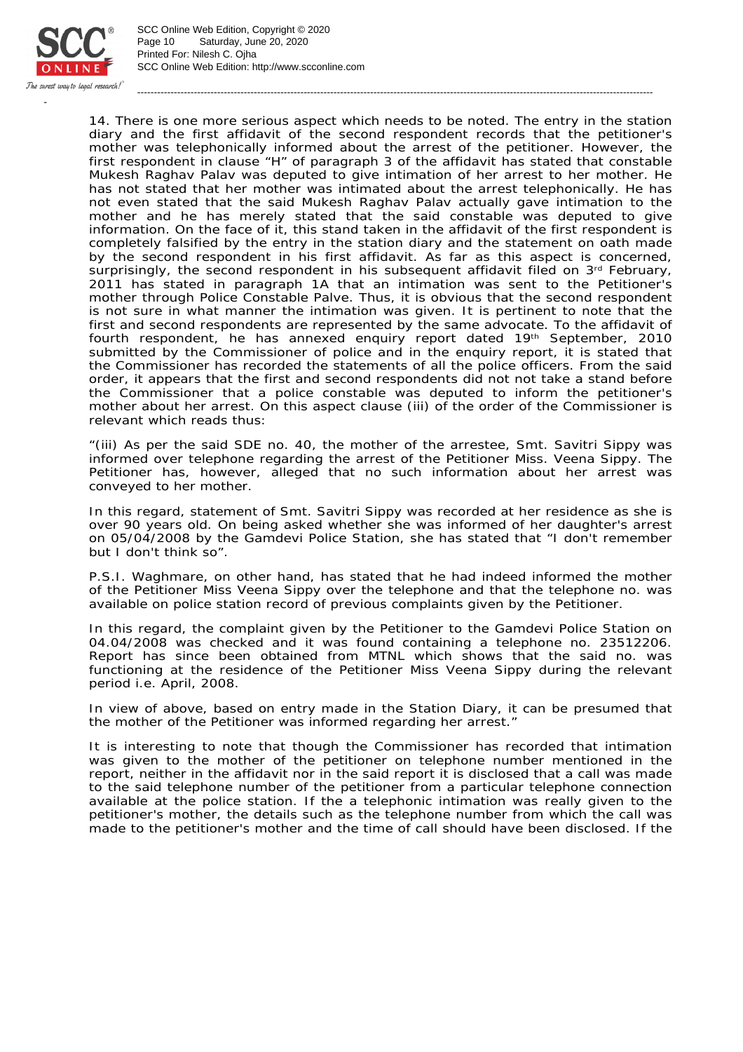

SCC Online Web Edition: http://www.scconline.com Printed For: Nilesh C. Ojha Page 10 Saturday, June 20, 2020 SCC Online Web Edition, Copyright © 2020

14. There is one more serious aspect which needs to be noted. The entry in the station diary and the first affidavit of the second respondent records that the petitioner's mother was telephonically informed about the arrest of the petitioner. However, the first respondent in clause "H" of paragraph 3 of the affidavit has stated that constable Mukesh Raghav Palav was deputed to give intimation of her arrest to her mother. He has not stated that her mother was intimated about the arrest telephonically. He has not even stated that the said Mukesh Raghav Palav actually gave intimation to the mother and he has merely stated that the said constable was deputed to give information. On the face of it, this stand taken in the affidavit of the first respondent is completely falsified by the entry in the station diary and the statement on oath made by the second respondent in his first affidavit. As far as this aspect is concerned, surprisingly, the second respondent in his subsequent affidavit filed on 3<sup>rd</sup> February, 2011 has stated in paragraph 1A that an intimation was sent to the Petitioner's mother through Police Constable Palve. Thus, it is obvious that the second respondent is not sure in what manner the intimation was given. It is pertinent to note that the first and second respondents are represented by the same advocate. To the affidavit of fourth respondent, he has annexed enquiry report dated  $19<sup>th</sup>$  September, 2010 submitted by the Commissioner of police and in the enquiry report, it is stated that the Commissioner has recorded the statements of all the police officers. From the said order, it appears that the first and second respondents did not not take a stand before the Commissioner that a police constable was deputed to inform the petitioner's mother about her arrest. On this aspect clause (iii) of the order of the Commissioner is relevant which reads thus:

-----------------------------------------------------------------------------------------------------------------------------------------------------------

*"(iii) As per the said SDE no. 40, the mother of the arrestee, Smt. Savitri Sippy was informed over telephone regarding the arrest of the Petitioner Miss. Veena Sippy. The Petitioner has, however, alleged that no such information about her arrest was conveyed to her mother.*

*In this regard, statement of Smt. Savitri Sippy was recorded at her residence as she is over 90 years old. On being asked whether she was informed of her daughter's arrest on 05/04/2008 by the Gamdevi Police Station, she has stated that "I don't remember but I don't think so".*

*P.S.I. Waghmare, on other hand, has stated that he had indeed informed the mother of the Petitioner Miss Veena Sippy over the telephone and that the telephone no. was available on police station record of previous complaints given by the Petitioner.*

*In this regard, the complaint given by the Petitioner to the Gamdevi Police Station on 04.04/2008 was checked and it was found containing a telephone no. 23512206. Report has since been obtained from MTNL which shows that the said no. was*  functioning at the residence of the Petitioner Miss Veena Sippy during the relevant *period i.e. April, 2008.*

*In view of above, based on entry made in the Station Diary, it can be presumed that the mother of the Petitioner was informed regarding her arrest."*

It is interesting to note that though the Commissioner has recorded that intimation was given to the mother of the petitioner on telephone number mentioned in the report, neither in the affidavit nor in the said report it is disclosed that a call was made to the said telephone number of the petitioner from a particular telephone connection available at the police station. If the a telephonic intimation was really given to the petitioner's mother, the details such as the telephone number from which the call was made to the petitioner's mother and the time of call should have been disclosed. If the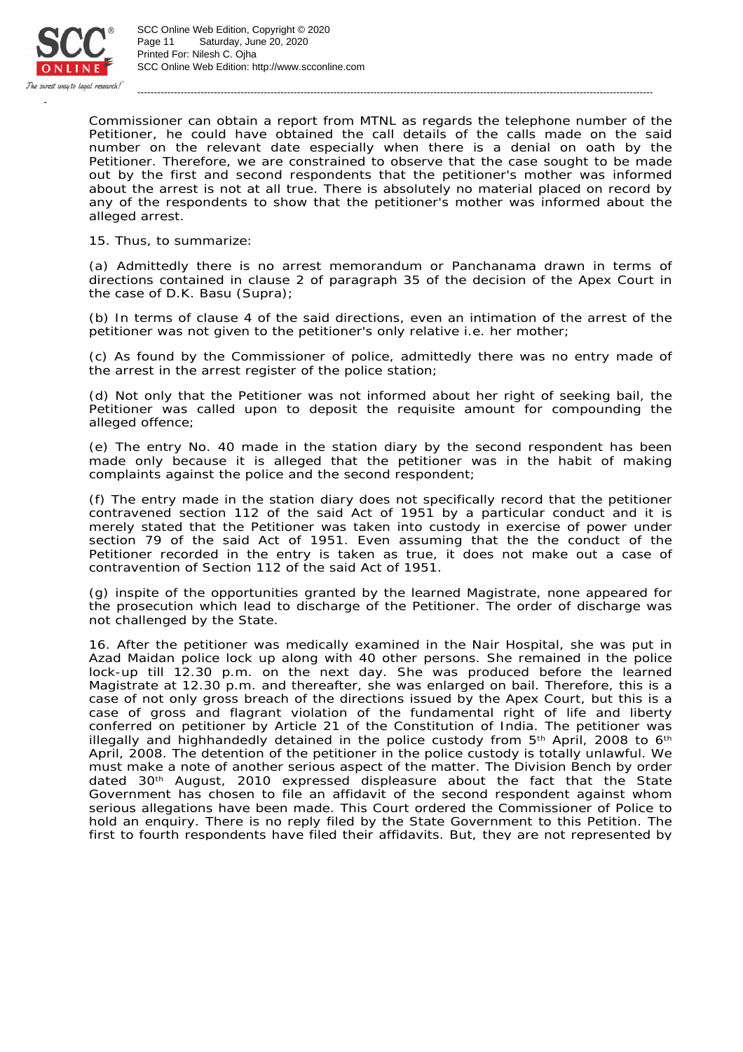

SCC Online Web Edition: http://www.scconline.com Printed For: Nilesh C. Ojha Page 11 Saturday, June 20, 2020 SCC Online Web Edition, Copyright © 2020

Commissioner can obtain a report from MTNL as regards the telephone number of the Petitioner, he could have obtained the call details of the calls made on the said number on the relevant date especially when there is a denial on oath by the Petitioner. Therefore, we are constrained to observe that the case sought to be made out by the first and second respondents that the petitioner's mother was informed about the arrest is not at all true. There is absolutely no material placed on record by any of the respondents to show that the petitioner's mother was informed about the alleged arrest.

-----------------------------------------------------------------------------------------------------------------------------------------------------------

15. Thus, to summarize:

(a) Admittedly there is no arrest memorandum or Panchanama drawn in terms of directions contained in clause 2 of paragraph 35 of the decision of the Apex Court in the case of *D.K. Basu* (Supra);

(b) In terms of clause 4 of the said directions, even an intimation of the arrest of the petitioner was not given to the petitioner's only relative i.e. her mother;

(c) As found by the Commissioner of police, admittedly there was no entry made of the arrest in the arrest register of the police station;

(d) Not only that the Petitioner was not informed about her right of seeking bail, the Petitioner was called upon to deposit the requisite amount for compounding the alleged offence;

(e) The entry No. 40 made in the station diary by the second respondent has been made only because it is alleged that the petitioner was in the habit of making complaints against the police and the second respondent;

(f) The entry made in the station diary does not specifically record that the petitioner contravened section 112 of the said Act of 1951 by a particular conduct and it is merely stated that the Petitioner was taken into custody in exercise of power under section 79 of the said Act of 1951. Even assuming that the the conduct of the Petitioner recorded in the entry is taken as true, it does not make out a case of contravention of Section 112 of the said Act of 1951.

(g) inspite of the opportunities granted by the learned Magistrate, none appeared for the prosecution which lead to discharge of the Petitioner. The order of discharge was not challenged by the State.

16. After the petitioner was medically examined in the Nair Hospital, she was put in Azad Maidan police lock up along with 40 other persons. She remained in the police lock-up till 12.30 p.m. on the next day. She was produced before the learned Magistrate at 12.30 p.m. and thereafter, she was enlarged on bail. Therefore, this is a case of not only gross breach of the directions issued by the Apex Court, but this is a case of gross and flagrant violation of the fundamental right of life and liberty conferred on petitioner by Article 21 of the Constitution of India. The petitioner was illegally and highhandedly detained in the police custody from  $5<sup>th</sup>$  April, 2008 to  $6<sup>th</sup>$ April, 2008. The detention of the petitioner in the police custody is totally unlawful. We must make a note of another serious aspect of the matter. The Division Bench by order dated 30<sup>th</sup> August, 2010 expressed displeasure about the fact that the State Government has chosen to file an affidavit of the second respondent against whom serious allegations have been made. This Court ordered the Commissioner of Police to hold an enquiry. There is no reply filed by the State Government to this Petition. The first to fourth respondents have filed their affidavits. But, they are not represented by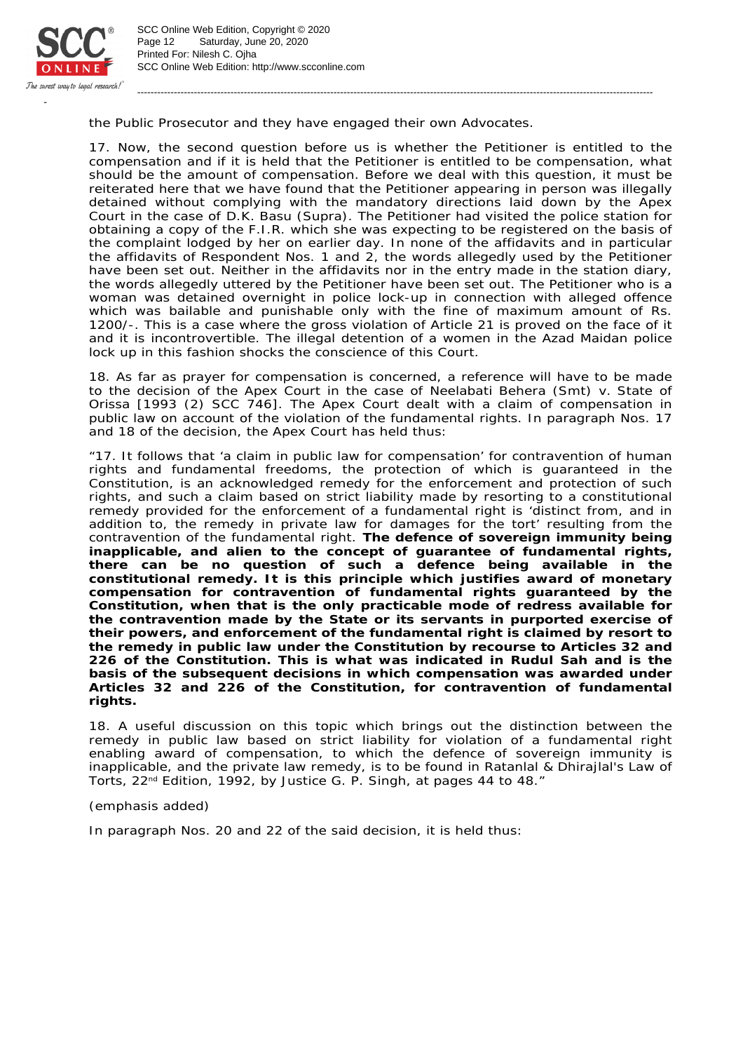

SCC Online Web Edition: http://www.scconline.com Printed For: Nilesh C. Ojha Page 12 Saturday, June 20, 2020 SCC Online Web Edition, Copyright © 2020

the Public Prosecutor and they have engaged their own Advocates.

17. Now, the second question before us is whether the Petitioner is entitled to the compensation and if it is held that the Petitioner is entitled to be compensation, what should be the amount of compensation. Before we deal with this question, it must be reiterated here that we have found that the Petitioner appearing in person was illegally detained without complying with the mandatory directions laid down by the Apex Court in the case of *D.K. Basu* (Supra). The Petitioner had visited the police station for obtaining a copy of the F.I.R. which she was expecting to be registered on the basis of the complaint lodged by her on earlier day. In none of the affidavits and in particular the affidavits of Respondent Nos. 1 and 2, the words allegedly used by the Petitioner have been set out. Neither in the affidavits nor in the entry made in the station diary, the words allegedly uttered by the Petitioner have been set out. The Petitioner who is a woman was detained overnight in police lock-up in connection with alleged offence which was bailable and punishable only with the fine of maximum amount of Rs. 1200/-. This is a case where the gross violation of Article 21 is proved on the face of it and it is incontrovertible. The illegal detention of a women in the Azad Maidan police lock up in this fashion shocks the conscience of this Court.

-----------------------------------------------------------------------------------------------------------------------------------------------------------

18. As far as prayer for compensation is concerned, a reference will have to be made to the decision of the Apex Court in the case of *Neelabati Behera (Smt)* v. *State of Orissa* [1993 (2) SCC 746]. The Apex Court dealt with a claim of compensation in public law on account of the violation of the fundamental rights. In paragraph Nos. 17 and 18 of the decision, the Apex Court has held thus:

*"17. It follows that 'a claim in public law for compensation' for contravention of human rights and fundamental freedoms, the protection of which is guaranteed in the Constitution, is an acknowledged remedy for the enforcement and protection of such rights, and such a claim based on strict liability made by resorting to a constitutional remedy provided for the enforcement of a fundamental right is 'distinct from, and in*  addition to, the remedy in private law for damages for the tort' resulting from the *contravention of the fundamental right. The defence of sovereign immunity being inapplicable, and alien to the concept of guarantee of fundamental rights, there can be no question of such a defence being available in the constitutional remedy. It is this principle which justifies award of monetary compensation for contravention of fundamental rights guaranteed by the Constitution, when that is the only practicable mode of redress available for the contravention made by the State or its servants in purported exercise of their powers, and enforcement of the fundamental right is claimed by resort to the remedy in public law under the Constitution by recourse to Articles 32 and 226 of the Constitution. This is what was indicated in Rudul Sah and is the*  basis of the subsequent decisions in which compensation was awarded under *Articles 32 and 226 of the Constitution, for contravention of fundamental rights.*

18. A useful discussion on this topic which brings out the distinction between the *remedy in public law based on strict liability for violation of a fundamental right enabling award of compensation, to which the defence of sovereign immunity is inapplicable, and the private law remedy, is to be found in Ratanlal & Dhirajlal's Law of*  Torts, 22<sup>nd</sup> Edition, 1992, by Justice G. P. Singh, at pages 44 to 48."

# (emphasis added)

In paragraph Nos. 20 and 22 of the said decision, it is held thus: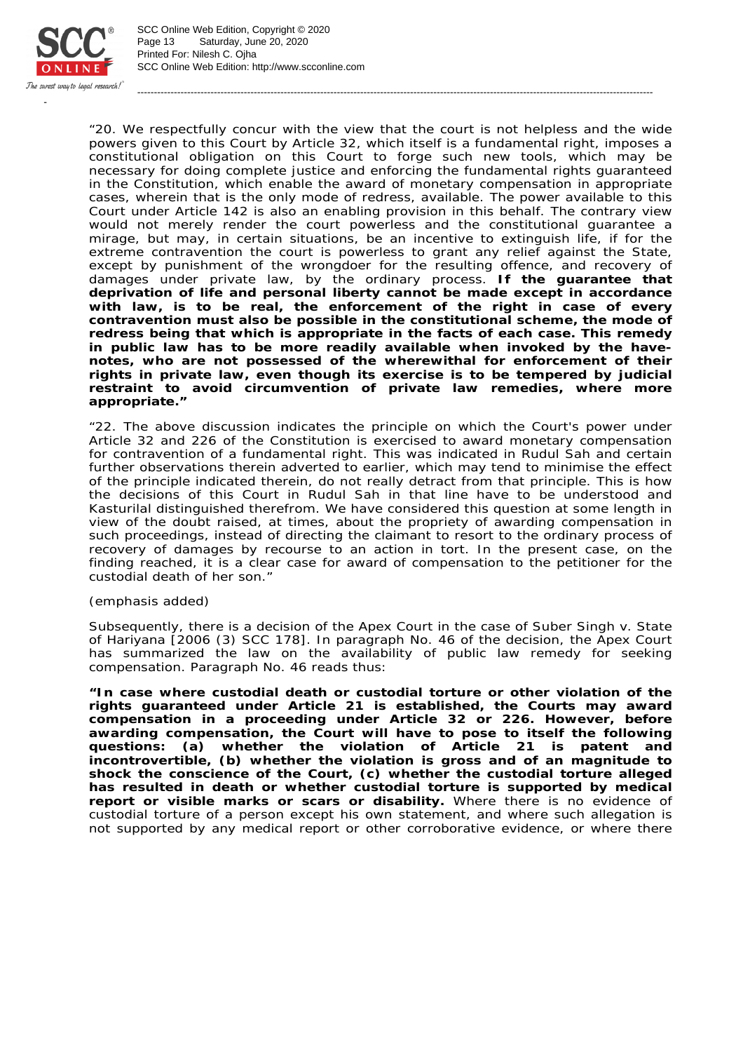

SCC Online Web Edition: http://www.scconline.com Printed For: Nilesh C. Ojha Page 13 Saturday, June 20, 2020 SCC Online Web Edition, Copyright © 2020

*"20. We respectfully concur with the view that the court is not helpless and the wide powers given to this Court by Article 32, which itself is a fundamental right, imposes a constitutional obligation on this Court to forge such new tools, which may be necessary for doing complete justice and enforcing the fundamental rights guaranteed in the Constitution, which enable the award of monetary compensation in appropriate cases, wherein that is the only mode of redress, available. The power available to this Court under Article 142 is also an enabling provision in this behalf. The contrary view would not merely render the court powerless and the constitutional guarantee a mirage, but may, in certain situations, be an incentive to extinguish life, if for the*  extreme contravention the court is powerless to grant any relief against the State, except by punishment of the wrongdoer for the resulting offence, and recovery of *damages under private law, by the ordinary process. If the guarantee that deprivation of life and personal liberty cannot be made except in accordance*  with law, is to be real, the enforcement of the right in case of every *contravention must also be possible in the constitutional scheme, the mode of redress being that which is appropriate in the facts of each case. This remedy in public law has to be more readily available when invoked by the havenotes, who are not possessed of the wherewithal for enforcement of their rights in private law, even though its exercise is to be tempered by judicial restraint to avoid circumvention of private law remedies, where more appropriate."*

-----------------------------------------------------------------------------------------------------------------------------------------------------------

*"22. The above discussion indicates the principle on which the Court's power under Article 32 and 226 of the Constitution is exercised to award monetary compensation for contravention of a fundamental right. This was indicated in Rudul Sah and certain further observations therein adverted to earlier, which may tend to minimise the effect of the principle indicated therein, do not really detract from that principle. This is how the decisions of this Court in Rudul Sah in that line have to be understood and Kasturilal distinguished therefrom. We have considered this question at some length in view of the doubt raised, at times, about the propriety of awarding compensation in such proceedings, instead of directing the claimant to resort to the ordinary process of recovery of damages by recourse to an action in tort. In the present case, on the finding reached, it is a clear case for award of compensation to the petitioner for the custodial death of her son."*

# (emphasis added)

Subsequently, there is a decision of the Apex Court in the case of *Suber Singh* v. *State of Hariyana* [2006 (3) SCC 178]. In paragraph No. 46 of the decision, the Apex Court has summarized the law on the availability of public law remedy for seeking compensation. Paragraph No. 46 reads thus:

*"In case where custodial death or custodial torture or other violation of the rights guaranteed under Article 21 is established, the Courts may award compensation in a proceeding under Article 32 or 226. However, before*  awarding compensation, the Court will have to pose to itself the following *questions: (a) whether the violation of Article 21 is patent and incontrovertible, (b) whether the violation is gross and of an magnitude to shock the conscience of the Court, (c) whether the custodial torture alleged*  has resulted in death or whether custodial torture is supported by medical *report or visible marks or scars or disability. Where there is no evidence of custodial torture of a person except his own statement, and where such allegation is not supported by any medical report or other corroborative evidence, or where there*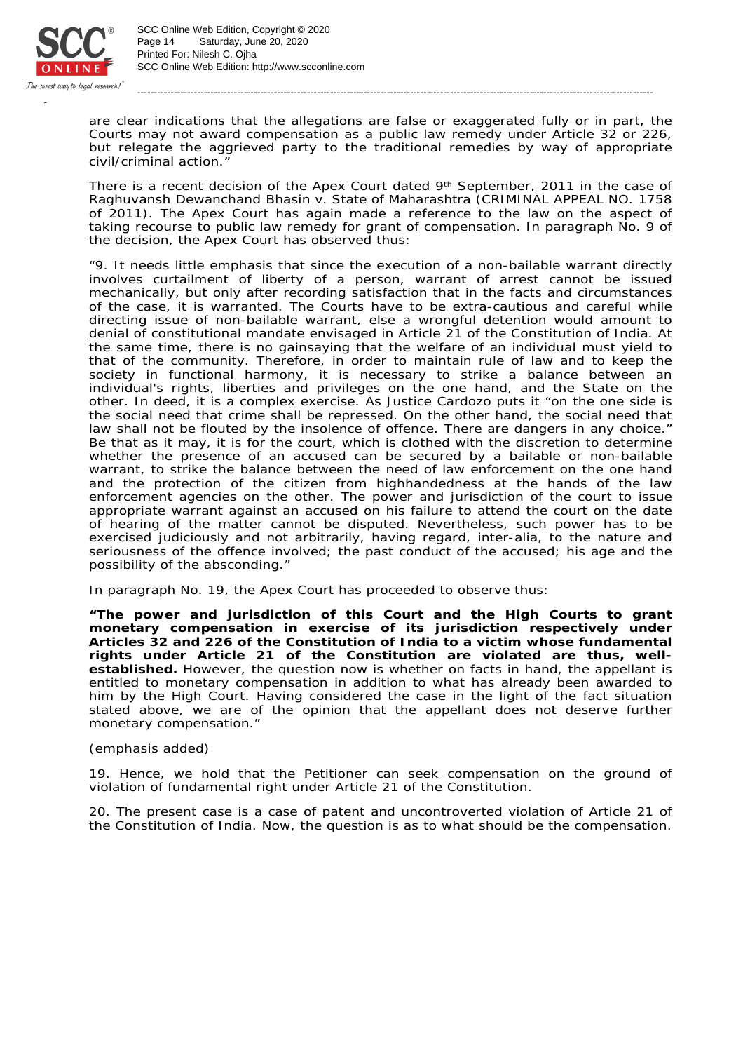

*are clear indications that the allegations are false or exaggerated fully or in part, the Courts may not award compensation as a public law remedy under Article 32 or 226, but relegate the aggrieved party to the traditional remedies by way of appropriate civil/criminal action."*

-----------------------------------------------------------------------------------------------------------------------------------------------------------

There is a recent decision of the Apex Court dated  $9<sup>th</sup>$  September, 2011 in the case of *Raghuvansh Dewanchand Bhasin* v. *State of Maharashtra* (CRIMINAL APPEAL NO. 1758 of 2011). The Apex Court has again made a reference to the law on the aspect of taking recourse to public law remedy for grant of compensation. In paragraph No. 9 of the decision, the Apex Court has observed thus:

*"9. It needs little emphasis that since the execution of a non-bailable warrant directly involves curtailment of liberty of a person, warrant of arrest cannot be issued mechanically, but only after recording satisfaction that in the facts and circumstances of the case, it is warranted. The Courts have to be extra-cautious and careful while directing issue of non-bailable warrant, else a wrongful detention would amount to denial of constitutional mandate envisaged in Article 21 of the Constitution of India. At the same time, there is no gainsaying that the welfare of an individual must yield to that of the community. Therefore, in order to maintain rule of law and to keep the society in functional harmony, it is necessary to strike a balance between an individual's rights, liberties and privileges on the one hand, and the State on the other. In deed, it is a complex exercise. As Justice Cardozo puts it "on the one side is the social need that crime shall be repressed. On the other hand, the social need that law shall not be flouted by the insolence of offence. There are dangers in any choice." Be that as it may, it is for the court, which is clothed with the discretion to determine whether the presence of an accused can be secured by a bailable or non-bailable warrant, to strike the balance between the need of law enforcement on the one hand and the protection of the citizen from highhandedness at the hands of the law enforcement agencies on the other. The power and jurisdiction of the court to issue appropriate warrant against an accused on his failure to attend the court on the date of hearing of the matter cannot be disputed. Nevertheless, such power has to be exercised judiciously and not arbitrarily, having regard, inter-alia, to the nature and seriousness of the offence involved; the past conduct of the accused; his age and the possibility of the absconding."*

In paragraph No. 19, the Apex Court has proceeded to observe thus:

*"The power and jurisdiction of this Court and the High Courts to grant monetary compensation in exercise of its jurisdiction respectively under Articles 32 and 226 of the Constitution of India to a victim whose fundamental rights under Article 21 of the Constitution are violated are thus, wellestablished. However, the question now is whether on facts in hand, the appellant is entitled to monetary compensation in addition to what has already been awarded to him by the High Court. Having considered the case in the light of the fact situation stated above, we are of the opinion that the appellant does not deserve further monetary compensation."*

# (emphasis added)

19. Hence, we hold that the Petitioner can seek compensation on the ground of violation of fundamental right under Article 21 of the Constitution.

20. The present case is a case of patent and uncontroverted violation of Article 21 of the Constitution of India. Now, the question is as to what should be the compensation.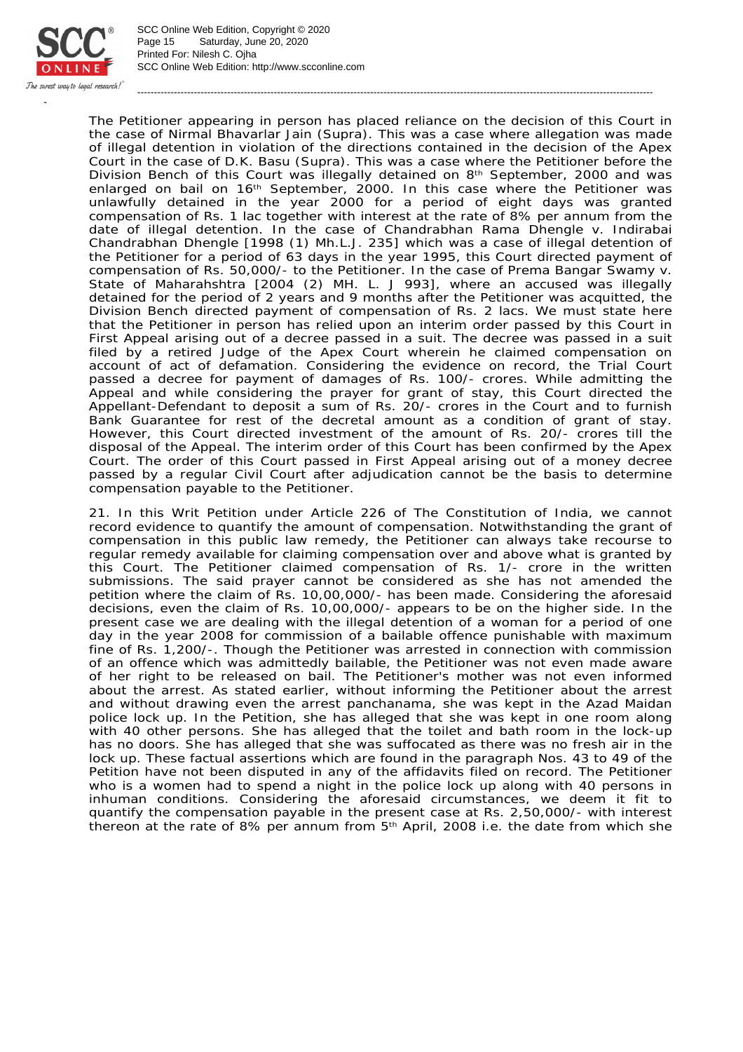

SCC Online Web Edition: http://www.scconline.com Printed For: Nilesh C. Ojha Page 15 Saturday, June 20, 2020 SCC Online Web Edition, Copyright © 2020

The Petitioner appearing in person has placed reliance on the decision of this Court in the case of *Nirmal Bhavarlar Jain* (Supra). This was a case where allegation was made of illegal detention in violation of the directions contained in the decision of the Apex Court in the case of *D.K. Basu* (Supra). This was a case where the Petitioner before the Division Bench of this Court was illegally detained on 8<sup>th</sup> September, 2000 and was enlarged on bail on  $16<sup>th</sup>$  September, 2000. In this case where the Petitioner was unlawfully detained in the year 2000 for a period of eight days was granted compensation of Rs. 1 lac together with interest at the rate of 8% per annum from the date of illegal detention. In the case of *Chandrabhan Rama Dhengle* v. *Indirabai Chandrabhan Dhengle* [1998 (1) Mh.L.J. 235] which was a case of illegal detention of the Petitioner for a period of 63 days in the year 1995, this Court directed payment of compensation of Rs. 50,000/- to the Petitioner. In the case of *Prema Bangar Swamy* v. *State of Maharahshtra* [2004 (2) MH. L. J 993], where an accused was illegally detained for the period of 2 years and 9 months after the Petitioner was acquitted, the Division Bench directed payment of compensation of Rs. 2 lacs. We must state here that the Petitioner in person has relied upon an interim order passed by this Court in First Appeal arising out of a decree passed in a suit. The decree was passed in a suit filed by a retired Judge of the Apex Court wherein he claimed compensation on account of act of defamation. Considering the evidence on record, the Trial Court passed a decree for payment of damages of Rs. 100/- crores. While admitting the Appeal and while considering the prayer for grant of stay, this Court directed the Appellant-Defendant to deposit a sum of Rs. 20/- crores in the Court and to furnish Bank Guarantee for rest of the decretal amount as a condition of grant of stay. However, this Court directed investment of the amount of Rs. 20/- crores till the disposal of the Appeal. The interim order of this Court has been confirmed by the Apex Court. The order of this Court passed in First Appeal arising out of a money decree passed by a regular Civil Court after adjudication cannot be the basis to determine compensation payable to the Petitioner. th

-----------------------------------------------------------------------------------------------------------------------------------------------------------

21. In this Writ Petition under Article 226 of The Constitution of India, we cannot record evidence to quantify the amount of compensation. Notwithstanding the grant of compensation in this public law remedy, the Petitioner can always take recourse to regular remedy available for claiming compensation over and above what is granted by this Court. The Petitioner claimed compensation of Rs. 1/- crore in the written submissions. The said prayer cannot be considered as she has not amended the petition where the claim of Rs. 10,00,000/- has been made. Considering the aforesaid decisions, even the claim of Rs. 10,00,000/- appears to be on the higher side. In the present case we are dealing with the illegal detention of a woman for a period of one day in the year 2008 for commission of a bailable offence punishable with maximum fine of Rs. 1,200/-. Though the Petitioner was arrested in connection with commission of an offence which was admittedly bailable, the Petitioner was not even made aware of her right to be released on bail. The Petitioner's mother was not even informed about the arrest. As stated earlier, without informing the Petitioner about the arrest and without drawing even the arrest panchanama, she was kept in the Azad Maidan police lock up. In the Petition, she has alleged that she was kept in one room along with 40 other persons. She has alleged that the toilet and bath room in the lock-up has no doors. She has alleged that she was suffocated as there was no fresh air in the lock up. These factual assertions which are found in the paragraph Nos. 43 to 49 of the Petition have not been disputed in any of the affidavits filed on record. The Petitioner who is a women had to spend a night in the police lock up along with 40 persons in inhuman conditions. Considering the aforesaid circumstances, we deem it fit to quantify the compensation payable in the present case at Rs. 2,50,000/- with interest thereon at the rate of 8% per annum from  $5<sup>th</sup>$  April, 2008 i.e. the date from which she